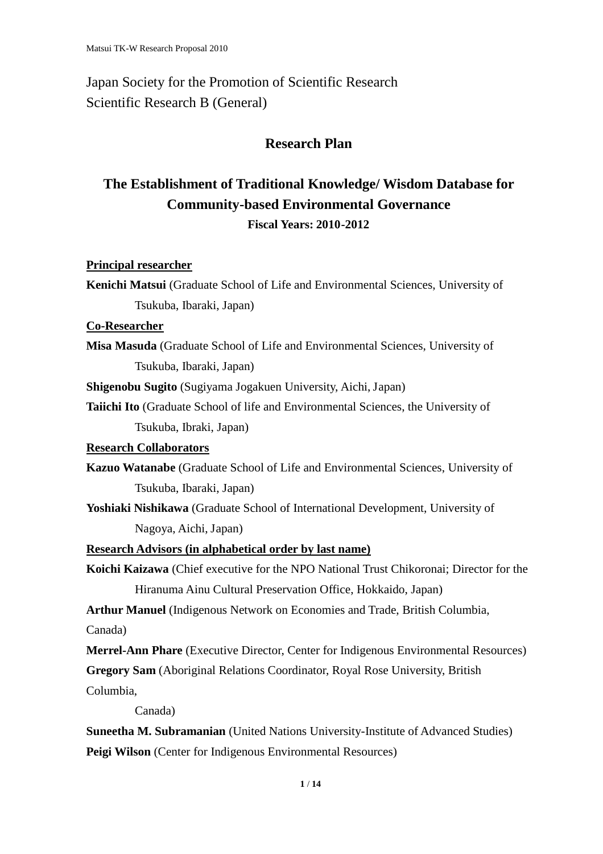Japan Society for the Promotion of Scientific Research Scientific Research B (General)

## **Research Plan**

# **The Establishment of Traditional Knowledge/ Wisdom Database for Community-based Environmental Governance Fiscal Years: 2010-2012**

**Principal researcher**

**Kenichi Matsui** (Graduate School of Life and Environmental Sciences, University of Tsukuba, Ibaraki, Japan)

## **Co-Researcher**

**Misa Masuda** (Graduate School of Life and Environmental Sciences, University of Tsukuba, Ibaraki, Japan)

**Shigenobu Sugito** (Sugiyama Jogakuen University, Aichi, Japan)

**Taiichi Ito** (Graduate School of life and Environmental Sciences, the University of Tsukuba, Ibraki, Japan)

## **Research Collaborators**

**Kazuo Watanabe** (Graduate School of Life and Environmental Sciences, University of Tsukuba, Ibaraki, Japan)

**Yoshiaki Nishikawa** (Graduate School of International Development, University of Nagoya, Aichi, Japan)

**Research Advisors (in alphabetical order by last name)**

**Koichi Kaizawa** (Chief executive for the NPO National Trust Chikoronai; Director for the Hiranuma Ainu Cultural Preservation Office, Hokkaido, Japan)

**Arthur Manuel** (Indigenous Network on Economies and Trade, British Columbia, Canada)

**Merrel-Ann Phare** (Executive Director, Center for Indigenous Environmental Resources)

**Gregory Sam** (Aboriginal Relations Coordinator, Royal Rose University, British

Columbia,

Canada)

**Suneetha M. Subramanian** (United Nations University-Institute of Advanced Studies) **Peigi Wilson** (Center for Indigenous Environmental Resources)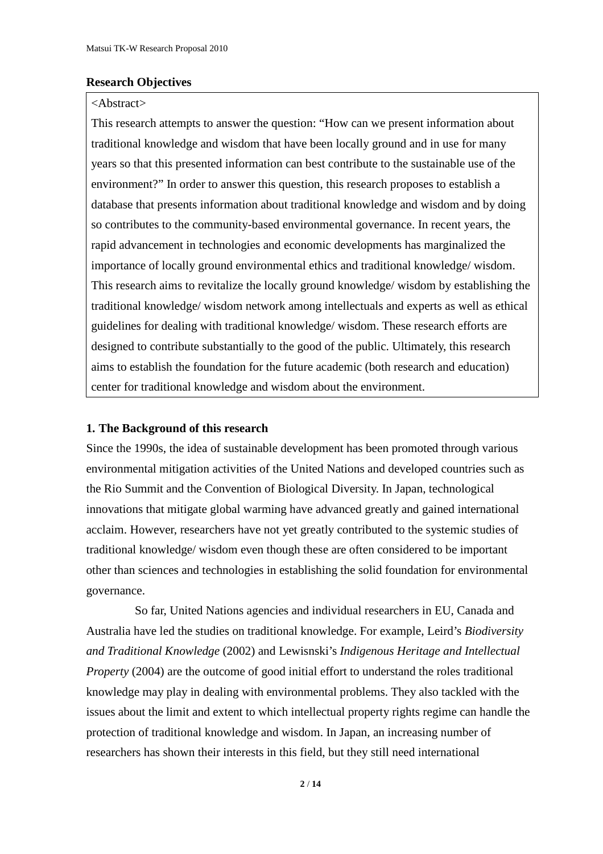## **Research Objectives**

## <Abstract>

This research attempts to answer the question: "How can we present information about traditional knowledge and wisdom that have been locally ground and in use for many years so that this presented information can best contribute to the sustainable use of the environment?" In order to answer this question, this research proposes to establish a database that presents information about traditional knowledge and wisdom and by doing so contributes to the community-based environmental governance. In recent years, the rapid advancement in technologies and economic developments has marginalized the importance of locally ground environmental ethics and traditional knowledge/ wisdom. This research aims to revitalize the locally ground knowledge/ wisdom by establishing the traditional knowledge/ wisdom network among intellectuals and experts as well as ethical guidelines for dealing with traditional knowledge/ wisdom. These research efforts are designed to contribute substantially to the good of the public. Ultimately, this research aims to establish the foundation for the future academic (both research and education) center for traditional knowledge and wisdom about the environment.

## **1. The Background of this research**

Since the 1990s, the idea of sustainable development has been promoted through various environmental mitigation activities of the United Nations and developed countries such as the Rio Summit and the Convention of Biological Diversity. In Japan, technological innovations that mitigate global warming have advanced greatly and gained international acclaim. However, researchers have not yet greatly contributed to the systemic studies of traditional knowledge/ wisdom even though these are often considered to be important other than sciences and technologies in establishing the solid foundation for environmental governance.

So far, United Nations agencies and individual researchers in EU, Canada and Australia have led the studies on traditional knowledge. For example, Leird's *Biodiversity and Traditional Knowledge* (2002) and Lewisnski's *Indigenous Heritage and Intellectual Property* (2004) are the outcome of good initial effort to understand the roles traditional knowledge may play in dealing with environmental problems. They also tackled with the issues about the limit and extent to which intellectual property rights regime can handle the protection of traditional knowledge and wisdom. In Japan, an increasing number of researchers has shown their interests in this field, but they still need international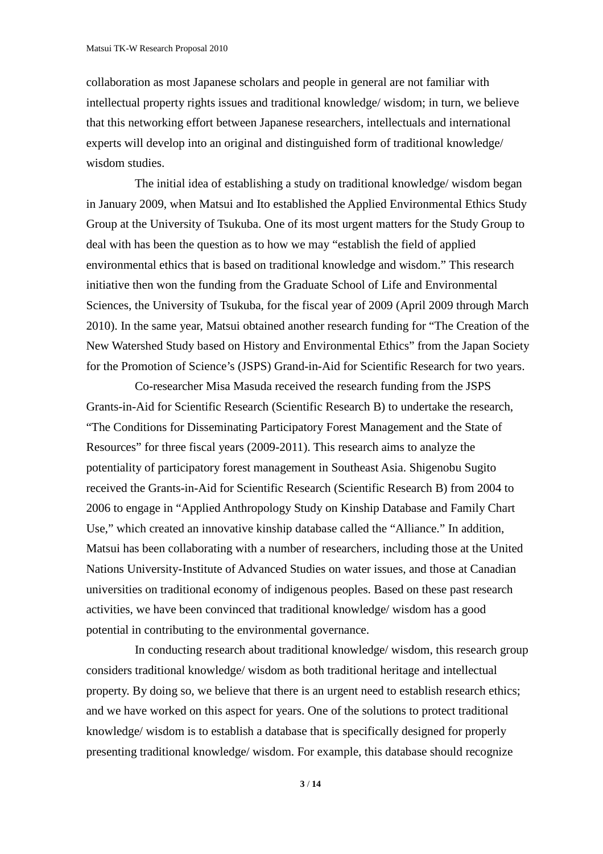collaboration as most Japanese scholars and people in general are not familiar with intellectual property rights issues and traditional knowledge/ wisdom; in turn, we believe that this networking effort between Japanese researchers, intellectuals and international experts will develop into an original and distinguished form of traditional knowledge/ wisdom studies.

The initial idea of establishing a study on traditional knowledge/ wisdom began in January 2009, when Matsui and Ito established the Applied Environmental Ethics Study Group at the University of Tsukuba. One of its most urgent matters for the Study Group to deal with has been the question as to how we may "establish the field of applied environmental ethics that is based on traditional knowledge and wisdom." This research initiative then won the funding from the Graduate School of Life and Environmental Sciences, the University of Tsukuba, for the fiscal year of 2009 (April 2009 through March 2010). In the same year, Matsui obtained another research funding for "The Creation of the New Watershed Study based on History and Environmental Ethics" from the Japan Society for the Promotion of Science's (JSPS) Grand-in-Aid for Scientific Research for two years.

Co-researcher Misa Masuda received the research funding from the JSPS Grants-in-Aid for Scientific Research (Scientific Research B) to undertake the research, "The Conditions for Disseminating Participatory Forest Management and the State of Resources" for three fiscal years (2009-2011). This research aims to analyze the potentiality of participatory forest management in Southeast Asia. Shigenobu Sugito received the Grants-in-Aid for Scientific Research (Scientific Research B) from 2004 to 2006 to engage in "Applied Anthropology Study on Kinship Database and Family Chart Use," which created an innovative kinship database called the "Alliance." In addition, Matsui has been collaborating with a number of researchers, including those at the United Nations University-Institute of Advanced Studies on water issues, and those at Canadian universities on traditional economy of indigenous peoples. Based on these past research activities, we have been convinced that traditional knowledge/ wisdom has a good potential in contributing to the environmental governance.

In conducting research about traditional knowledge/ wisdom, this research group considers traditional knowledge/ wisdom as both traditional heritage and intellectual property. By doing so, we believe that there is an urgent need to establish research ethics; and we have worked on this aspect for years. One of the solutions to protect traditional knowledge/ wisdom is to establish a database that is specifically designed for properly presenting traditional knowledge/ wisdom. For example, this database should recognize

**3** / **14**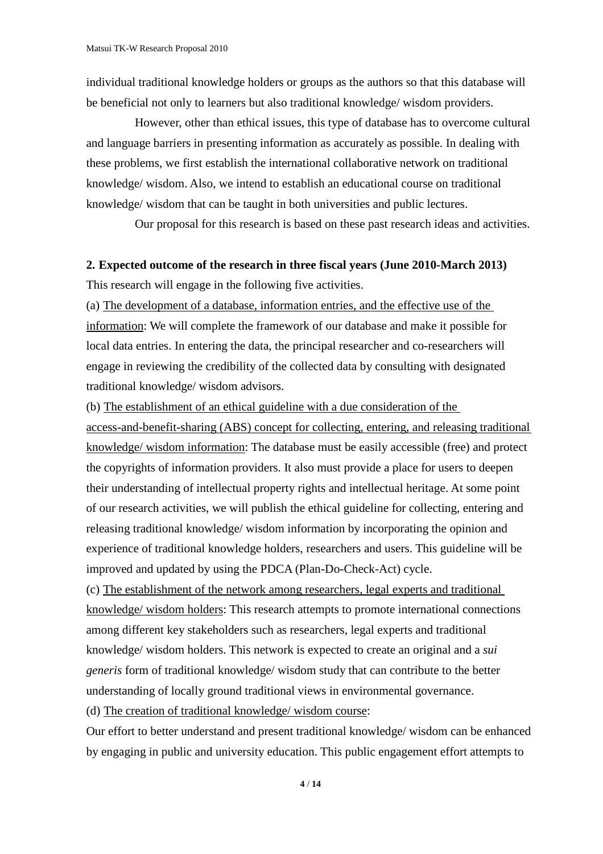individual traditional knowledge holders or groups as the authors so that this database will be beneficial not only to learners but also traditional knowledge/ wisdom providers.

However, other than ethical issues, this type of database has to overcome cultural and language barriers in presenting information as accurately as possible. In dealing with these problems, we first establish the international collaborative network on traditional knowledge/ wisdom. Also, we intend to establish an educational course on traditional knowledge/ wisdom that can be taught in both universities and public lectures.

Our proposal for this research is based on these past research ideas and activities.

## **2. Expected outcome of the research in three fiscal years (June 2010-March 2013)** This research will engage in the following five activities.

(a) The development of a database, information entries, and the effective use of the information: We will complete the framework of our database and make it possible for local data entries. In entering the data, the principal researcher and co-researchers will engage in reviewing the credibility of the collected data by consulting with designated traditional knowledge/ wisdom advisors.

(b) The establishment of an ethical guideline with a due consideration of the

access-and-benefit-sharing (ABS) concept for collecting, entering, and releasing traditional knowledge/ wisdom information: The database must be easily accessible (free) and protect the copyrights of information providers. It also must provide a place for users to deepen their understanding of intellectual property rights and intellectual heritage. At some point of our research activities, we will publish the ethical guideline for collecting, entering and releasing traditional knowledge/ wisdom information by incorporating the opinion and experience of traditional knowledge holders, researchers and users. This guideline will be improved and updated by using the PDCA (Plan-Do-Check-Act) cycle.

(c) The establishment of the network among researchers, legal experts and traditional knowledge/ wisdom holders: This research attempts to promote international connections among different key stakeholders such as researchers, legal experts and traditional knowledge/ wisdom holders. This network is expected to create an original and a *sui generis* form of traditional knowledge/ wisdom study that can contribute to the better understanding of locally ground traditional views in environmental governance.

(d) The creation of traditional knowledge/ wisdom course:

Our effort to better understand and present traditional knowledge/ wisdom can be enhanced by engaging in public and university education. This public engagement effort attempts to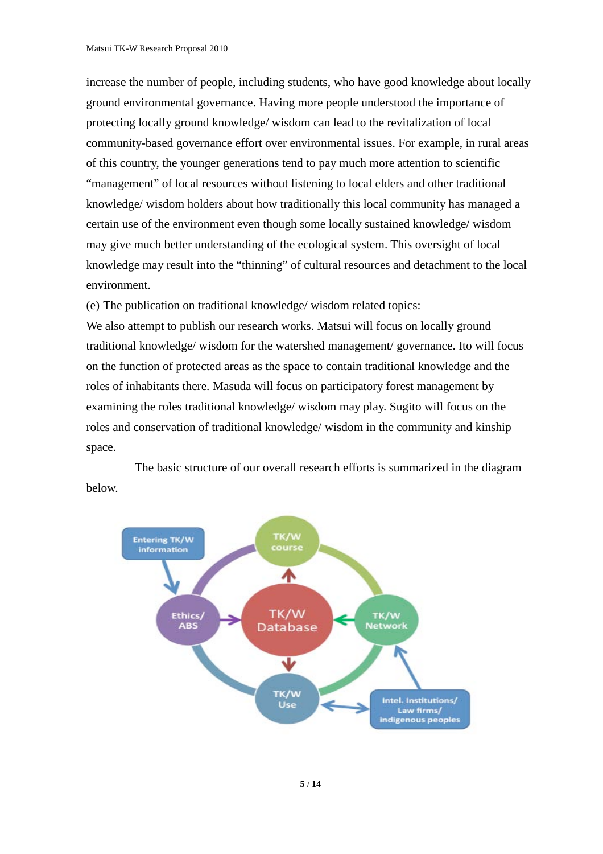increase the number of people, including students, who have good knowledge about locally ground environmental governance. Having more people understood the importance of protecting locally ground knowledge/ wisdom can lead to the revitalization of local community-based governance effort over environmental issues. For example, in rural areas of this country, the younger generations tend to pay much more attention to scientific "management" of local resources without listening to local elders and other traditional knowledge/ wisdom holders about how traditionally this local community has managed a certain use of the environment even though some locally sustained knowledge/ wisdom may give much better understanding of the ecological system. This oversight of local knowledge may result into the "thinning" of cultural resources and detachment to the local environment.

(e) The publication on traditional knowledge/ wisdom related topics:

We also attempt to publish our research works. Matsui will focus on locally ground traditional knowledge/ wisdom for the watershed management/ governance. Ito will focus on the function of protected areas as the space to contain traditional knowledge and the roles of inhabitants there. Masuda will focus on participatory forest management by examining the roles traditional knowledge/ wisdom may play. Sugito will focus on the roles and conservation of traditional knowledge/ wisdom in the community and kinship space.

The basic structure of our overall research efforts is summarized in the diagram below.

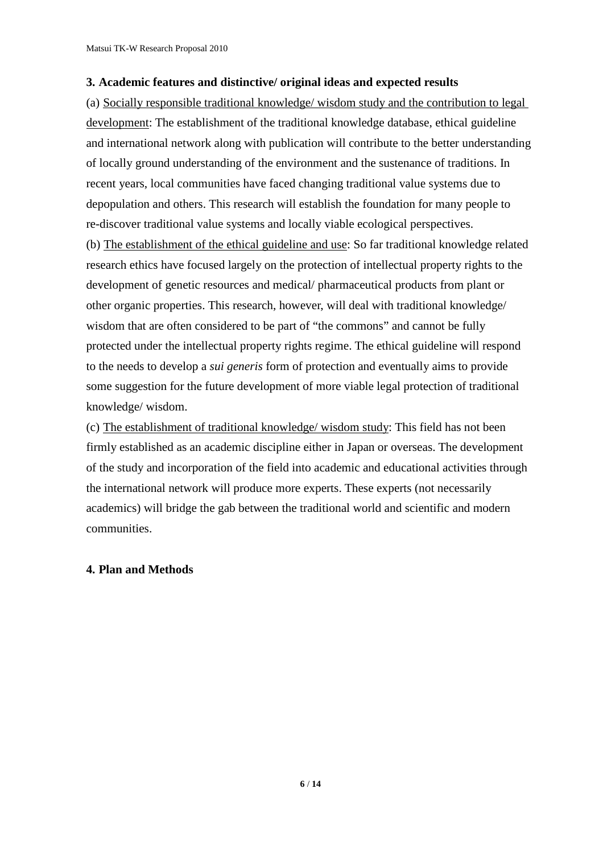#### **3. Academic features and distinctive/ original ideas and expected results**

(a) Socially responsible traditional knowledge/ wisdom study and the contribution to legal development: The establishment of the traditional knowledge database, ethical guideline and international network along with publication will contribute to the better understanding of locally ground understanding of the environment and the sustenance of traditions. In recent years, local communities have faced changing traditional value systems due to depopulation and others. This research will establish the foundation for many people to re-discover traditional value systems and locally viable ecological perspectives. (b) The establishment of the ethical guideline and use: So far traditional knowledge related research ethics have focused largely on the protection of intellectual property rights to the

development of genetic resources and medical/ pharmaceutical products from plant or other organic properties. This research, however, will deal with traditional knowledge/ wisdom that are often considered to be part of "the commons" and cannot be fully protected under the intellectual property rights regime. The ethical guideline will respond to the needs to develop a *sui generis* form of protection and eventually aims to provide some suggestion for the future development of more viable legal protection of traditional knowledge/ wisdom.

(c) The establishment of traditional knowledge/ wisdom study: This field has not been firmly established as an academic discipline either in Japan or overseas. The development of the study and incorporation of the field into academic and educational activities through the international network will produce more experts. These experts (not necessarily academics) will bridge the gab between the traditional world and scientific and modern communities.

## **4. Plan and Methods**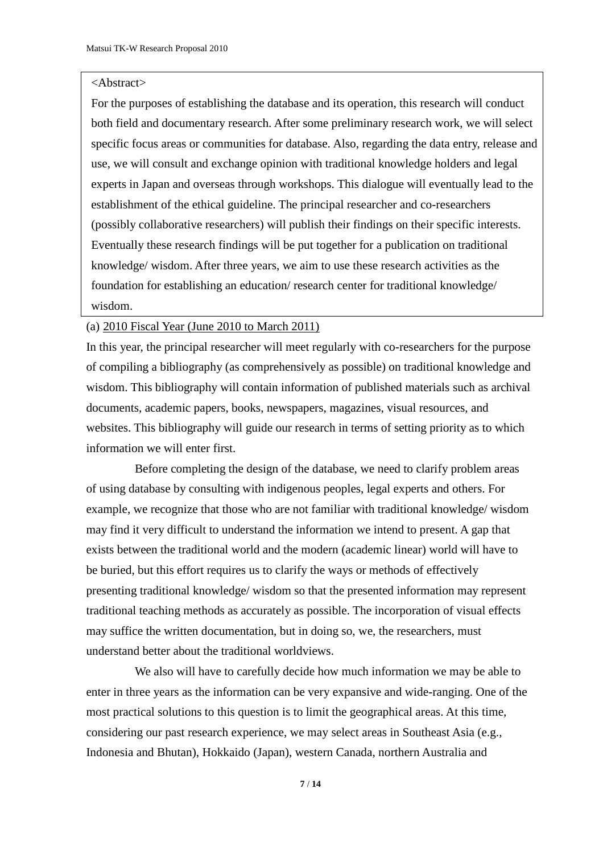#### <Abstract>

For the purposes of establishing the database and its operation, this research will conduct both field and documentary research. After some preliminary research work, we will select specific focus areas or communities for database. Also, regarding the data entry, release and use, we will consult and exchange opinion with traditional knowledge holders and legal experts in Japan and overseas through workshops. This dialogue will eventually lead to the establishment of the ethical guideline. The principal researcher and co-researchers (possibly collaborative researchers) will publish their findings on their specific interests. Eventually these research findings will be put together for a publication on traditional knowledge/ wisdom. After three years, we aim to use these research activities as the foundation for establishing an education/ research center for traditional knowledge/ wisdom.

#### (a) 2010 Fiscal Year (June 2010 to March 2011)

In this year, the principal researcher will meet regularly with co-researchers for the purpose of compiling a bibliography (as comprehensively as possible) on traditional knowledge and wisdom. This bibliography will contain information of published materials such as archival documents, academic papers, books, newspapers, magazines, visual resources, and websites. This bibliography will guide our research in terms of setting priority as to which information we will enter first.

Before completing the design of the database, we need to clarify problem areas of using database by consulting with indigenous peoples, legal experts and others. For example, we recognize that those who are not familiar with traditional knowledge/ wisdom may find it very difficult to understand the information we intend to present. A gap that exists between the traditional world and the modern (academic linear) world will have to be buried, but this effort requires us to clarify the ways or methods of effectively presenting traditional knowledge/ wisdom so that the presented information may represent traditional teaching methods as accurately as possible. The incorporation of visual effects may suffice the written documentation, but in doing so, we, the researchers, must understand better about the traditional worldviews.

We also will have to carefully decide how much information we may be able to enter in three years as the information can be very expansive and wide-ranging. One of the most practical solutions to this question is to limit the geographical areas. At this time, considering our past research experience, we may select areas in Southeast Asia (e.g., Indonesia and Bhutan), Hokkaido (Japan), western Canada, northern Australia and

**7** / **14**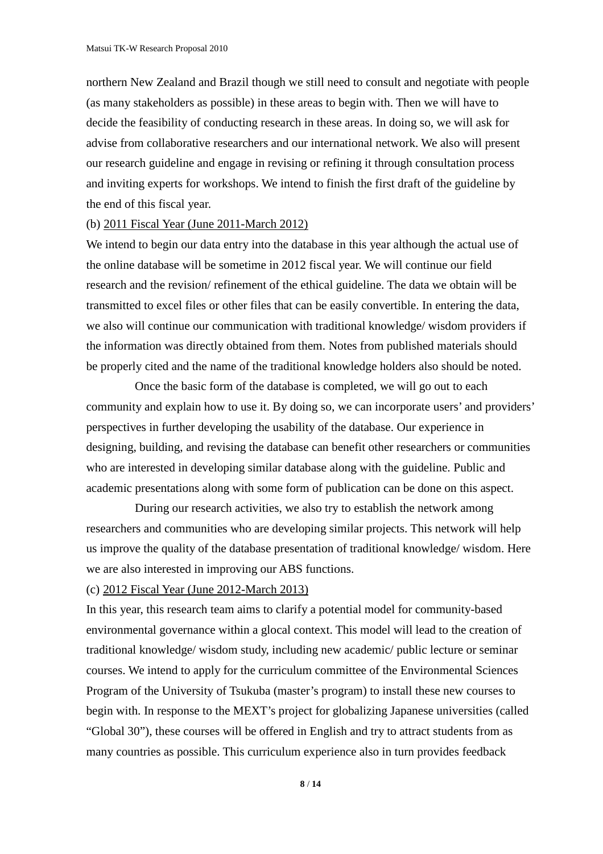northern New Zealand and Brazil though we still need to consult and negotiate with people (as many stakeholders as possible) in these areas to begin with. Then we will have to decide the feasibility of conducting research in these areas. In doing so, we will ask for advise from collaborative researchers and our international network. We also will present our research guideline and engage in revising or refining it through consultation process and inviting experts for workshops. We intend to finish the first draft of the guideline by the end of this fiscal year.

#### (b) 2011 Fiscal Year (June 2011-March 2012)

We intend to begin our data entry into the database in this year although the actual use of the online database will be sometime in 2012 fiscal year. We will continue our field research and the revision/ refinement of the ethical guideline. The data we obtain will be transmitted to excel files or other files that can be easily convertible. In entering the data, we also will continue our communication with traditional knowledge/ wisdom providers if the information was directly obtained from them. Notes from published materials should be properly cited and the name of the traditional knowledge holders also should be noted.

Once the basic form of the database is completed, we will go out to each community and explain how to use it. By doing so, we can incorporate users' and providers' perspectives in further developing the usability of the database. Our experience in designing, building, and revising the database can benefit other researchers or communities who are interested in developing similar database along with the guideline. Public and academic presentations along with some form of publication can be done on this aspect.

During our research activities, we also try to establish the network among researchers and communities who are developing similar projects. This network will help us improve the quality of the database presentation of traditional knowledge/ wisdom. Here we are also interested in improving our ABS functions.

#### (c) 2012 Fiscal Year (June 2012-March 2013)

In this year, this research team aims to clarify a potential model for community-based environmental governance within a glocal context. This model will lead to the creation of traditional knowledge/ wisdom study, including new academic/ public lecture or seminar courses. We intend to apply for the curriculum committee of the Environmental Sciences Program of the University of Tsukuba (master's program) to install these new courses to begin with. In response to the MEXT's project for globalizing Japanese universities (called "Global 30"), these courses will be offered in English and try to attract students from as many countries as possible. This curriculum experience also in turn provides feedback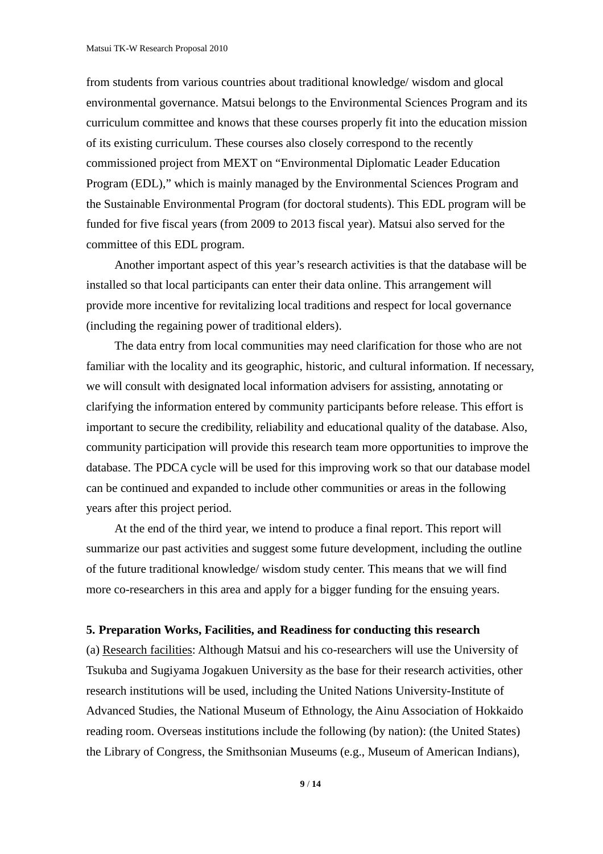from students from various countries about traditional knowledge/ wisdom and glocal environmental governance. Matsui belongs to the Environmental Sciences Program and its curriculum committee and knows that these courses properly fit into the education mission of its existing curriculum. These courses also closely correspond to the recently commissioned project from MEXT on "Environmental Diplomatic Leader Education Program (EDL)," which is mainly managed by the Environmental Sciences Program and the Sustainable Environmental Program (for doctoral students). This EDL program will be funded for five fiscal years (from 2009 to 2013 fiscal year). Matsui also served for the committee of this EDL program.

Another important aspect of this year's research activities is that the database will be installed so that local participants can enter their data online. This arrangement will provide more incentive for revitalizing local traditions and respect for local governance (including the regaining power of traditional elders).

The data entry from local communities may need clarification for those who are not familiar with the locality and its geographic, historic, and cultural information. If necessary, we will consult with designated local information advisers for assisting, annotating or clarifying the information entered by community participants before release. This effort is important to secure the credibility, reliability and educational quality of the database. Also, community participation will provide this research team more opportunities to improve the database. The PDCA cycle will be used for this improving work so that our database model can be continued and expanded to include other communities or areas in the following years after this project period.

At the end of the third year, we intend to produce a final report. This report will summarize our past activities and suggest some future development, including the outline of the future traditional knowledge/ wisdom study center. This means that we will find more co-researchers in this area and apply for a bigger funding for the ensuing years.

#### **5. Preparation Works, Facilities, and Readiness for conducting this research**

(a) Research facilities: Although Matsui and his co-researchers will use the University of Tsukuba and Sugiyama Jogakuen University as the base for their research activities, other research institutions will be used, including the United Nations University-Institute of Advanced Studies, the National Museum of Ethnology, the Ainu Association of Hokkaido reading room. Overseas institutions include the following (by nation): (the United States) the Library of Congress, the Smithsonian Museums (e.g., Museum of American Indians),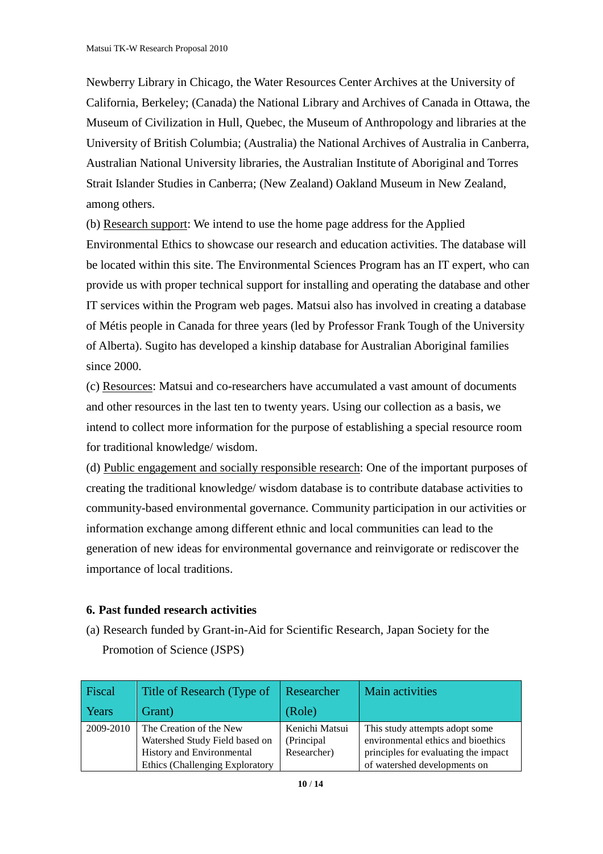Newberry Library in Chicago, the Water Resources Center Archives at the University of California, Berkeley; (Canada) the National Library and Archives of Canada in Ottawa, the Museum of Civilization in Hull, Quebec, the Museum of Anthropology and libraries at the University of British Columbia; (Australia) the National Archives of Australia in Canberra, Australian National University libraries, the Australian Institute of Aboriginal and Torres Strait Islander Studies in Canberra; (New Zealand) Oakland Museum in New Zealand, among others.

(b) Research support: We intend to use the home page address for the Applied Environmental Ethics to showcase our research and education activities. The database will be located within this site. The Environmental Sciences Program has an IT expert, who can provide us with proper technical support for installing and operating the database and other IT services within the Program web pages. Matsui also has involved in creating a database of Métis people in Canada for three years (led by Professor Frank Tough of the University of Alberta). Sugito has developed a kinship database for Australian Aboriginal families since 2000.

(c) Resources: Matsui and co-researchers have accumulated a vast amount of documents and other resources in the last ten to twenty years. Using our collection as a basis, we intend to collect more information for the purpose of establishing a special resource room for traditional knowledge/ wisdom.

(d) Public engagement and socially responsible research: One of the important purposes of creating the traditional knowledge/ wisdom database is to contribute database activities to community-based environmental governance. Community participation in our activities or information exchange among different ethnic and local communities can lead to the generation of new ideas for environmental governance and reinvigorate or rediscover the importance of local traditions.

## **6. Past funded research activities**

(a) Research funded by Grant-in-Aid for Scientific Research, Japan Society for the Promotion of Science (JSPS)

| Fiscal    | Title of Research (Type of                                                                                                | Researcher                                   | Main activities                                                                                                                              |
|-----------|---------------------------------------------------------------------------------------------------------------------------|----------------------------------------------|----------------------------------------------------------------------------------------------------------------------------------------------|
| Years     | Grant)                                                                                                                    | (Role)                                       |                                                                                                                                              |
| 2009-2010 | The Creation of the New<br>Watershed Study Field based on<br>History and Environmental<br>Ethics (Challenging Exploratory | Kenichi Matsui<br>(Principal)<br>Researcher) | This study attempts adopt some<br>environmental ethics and bioethics<br>principles for evaluating the impact<br>of watershed developments on |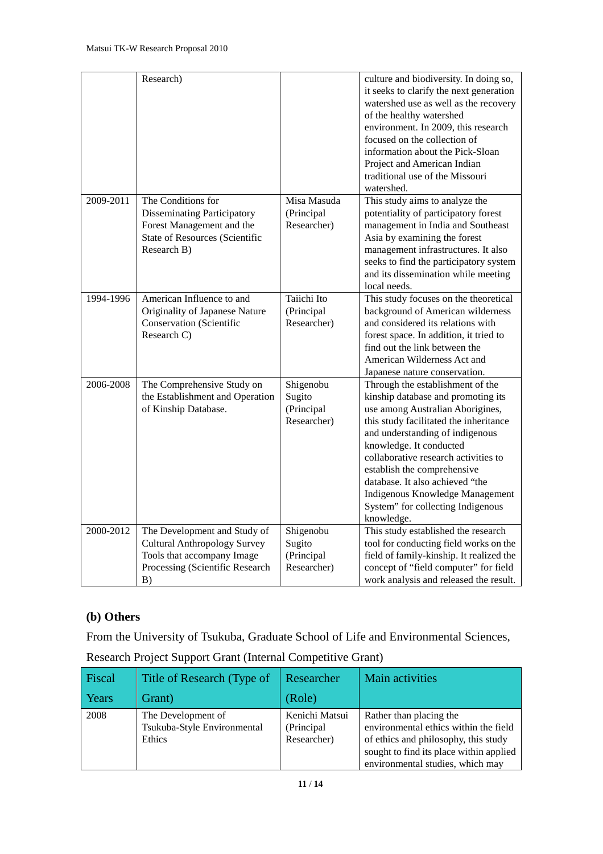|           | Research)                                                                                                                                     |                                                  | culture and biodiversity. In doing so,<br>it seeks to clarify the next generation<br>watershed use as well as the recovery<br>of the healthy watershed<br>environment. In 2009, this research<br>focused on the collection of<br>information about the Pick-Sloan<br>Project and American Indian<br>traditional use of the Missouri<br>watershed.                                                                  |
|-----------|-----------------------------------------------------------------------------------------------------------------------------------------------|--------------------------------------------------|--------------------------------------------------------------------------------------------------------------------------------------------------------------------------------------------------------------------------------------------------------------------------------------------------------------------------------------------------------------------------------------------------------------------|
| 2009-2011 | The Conditions for<br><b>Disseminating Participatory</b><br>Forest Management and the<br><b>State of Resources (Scientific</b><br>Research B) | Misa Masuda<br>(Principal<br>Researcher)         | This study aims to analyze the<br>potentiality of participatory forest<br>management in India and Southeast<br>Asia by examining the forest<br>management infrastructures. It also<br>seeks to find the participatory system<br>and its dissemination while meeting<br>local needs.                                                                                                                                |
| 1994-1996 | American Influence to and<br>Originality of Japanese Nature<br><b>Conservation</b> (Scientific<br>Research C)                                 | Taiichi Ito<br>(Principal<br>Researcher)         | This study focuses on the theoretical<br>background of American wilderness<br>and considered its relations with<br>forest space. In addition, it tried to<br>find out the link between the<br>American Wilderness Act and<br>Japanese nature conservation.                                                                                                                                                         |
| 2006-2008 | The Comprehensive Study on<br>the Establishment and Operation<br>of Kinship Database.                                                         | Shigenobu<br>Sugito<br>(Principal<br>Researcher) | Through the establishment of the<br>kinship database and promoting its<br>use among Australian Aborigines,<br>this study facilitated the inheritance<br>and understanding of indigenous<br>knowledge. It conducted<br>collaborative research activities to<br>establish the comprehensive<br>database. It also achieved "the<br>Indigenous Knowledge Management<br>System" for collecting Indigenous<br>knowledge. |
| 2000-2012 | The Development and Study of<br><b>Cultural Anthropology Survey</b><br>Tools that accompany Image<br>Processing (Scientific Research<br>B)    | Shigenobu<br>Sugito<br>(Principal<br>Researcher) | This study established the research<br>tool for conducting field works on the<br>field of family-kinship. It realized the<br>concept of "field computer" for field<br>work analysis and released the result.                                                                                                                                                                                                       |

## **(b) Others**

From the University of Tsukuba, Graduate School of Life and Environmental Sciences,

| Fiscal | Title of Research (Type of                                  | Researcher                                   | Main activities                                                                                                                                                                         |
|--------|-------------------------------------------------------------|----------------------------------------------|-----------------------------------------------------------------------------------------------------------------------------------------------------------------------------------------|
| Years  | Grant)                                                      | (Role)                                       |                                                                                                                                                                                         |
| 2008   | The Development of<br>Tsukuba-Style Environmental<br>Ethics | Kenichi Matsui<br>(Principal)<br>Researcher) | Rather than placing the<br>environmental ethics within the field<br>of ethics and philosophy, this study<br>sought to find its place within applied<br>environmental studies, which may |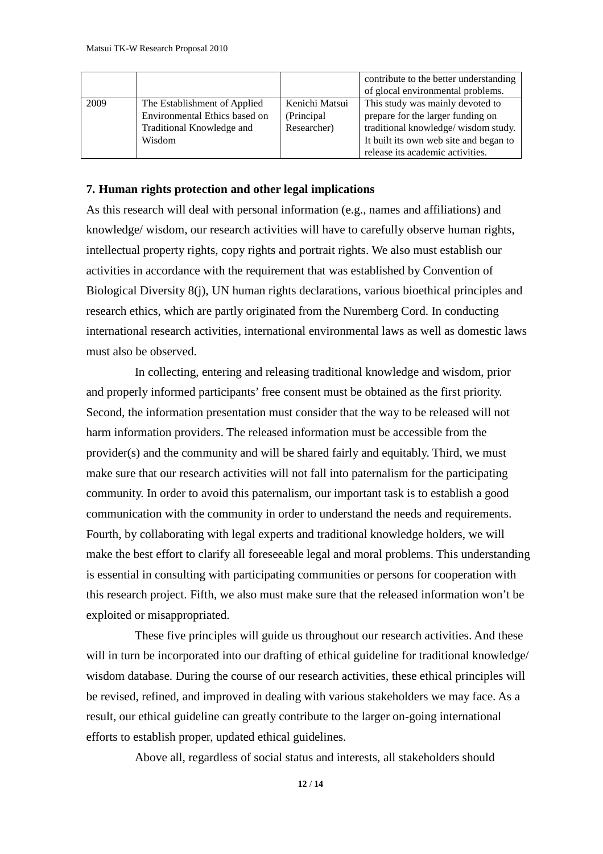|      |                               |                | contribute to the better understanding |
|------|-------------------------------|----------------|----------------------------------------|
|      |                               |                | of glocal environmental problems.      |
| 2009 | The Establishment of Applied  | Kenichi Matsui | This study was mainly devoted to       |
|      | Environmental Ethics based on | (Principal)    | prepare for the larger funding on      |
|      | Traditional Knowledge and     | Researcher)    | traditional knowledge/wisdom study.    |
|      | Wisdom                        |                | It built its own web site and began to |
|      |                               |                | release its academic activities.       |

#### **7. Human rights protection and other legal implications**

As this research will deal with personal information (e.g., names and affiliations) and knowledge/ wisdom, our research activities will have to carefully observe human rights, intellectual property rights, copy rights and portrait rights. We also must establish our activities in accordance with the requirement that was established by Convention of Biological Diversity 8(j), UN human rights declarations, various bioethical principles and research ethics, which are partly originated from the Nuremberg Cord. In conducting international research activities, international environmental laws as well as domestic laws must also be observed.

In collecting, entering and releasing traditional knowledge and wisdom, prior and properly informed participants' free consent must be obtained as the first priority. Second, the information presentation must consider that the way to be released will not harm information providers. The released information must be accessible from the provider(s) and the community and will be shared fairly and equitably. Third, we must make sure that our research activities will not fall into paternalism for the participating community. In order to avoid this paternalism, our important task is to establish a good communication with the community in order to understand the needs and requirements. Fourth, by collaborating with legal experts and traditional knowledge holders, we will make the best effort to clarify all foreseeable legal and moral problems. This understanding is essential in consulting with participating communities or persons for cooperation with this research project. Fifth, we also must make sure that the released information won't be exploited or misappropriated.

These five principles will guide us throughout our research activities. And these will in turn be incorporated into our drafting of ethical guideline for traditional knowledge/ wisdom database. During the course of our research activities, these ethical principles will be revised, refined, and improved in dealing with various stakeholders we may face. As a result, our ethical guideline can greatly contribute to the larger on-going international efforts to establish proper, updated ethical guidelines.

Above all, regardless of social status and interests, all stakeholders should

**12** / **14**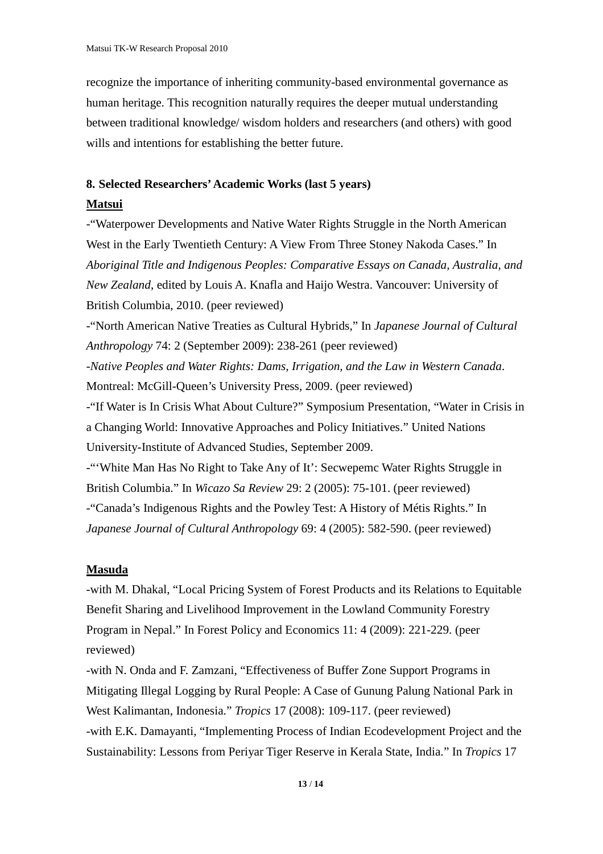recognize the importance of inheriting community-based environmental governance as human heritage. This recognition naturally requires the deeper mutual understanding between traditional knowledge/ wisdom holders and researchers (and others) with good wills and intentions for establishing the better future.

### **8. Selected Researchers'Academic Works (last 5 years)**

## **Matsui**

-"Waterpower Developments and Native Water Rights Struggle in the North American West in the Early Twentieth Century: A View From Three Stoney Nakoda Cases." In *Aboriginal Title and Indigenous Peoples: Comparative Essays on Canada, Australia, and New Zealand*, edited by Louis A. Knafla and Haijo Westra. Vancouver: University of British Columbia, 2010. (peer reviewed)

-"North American Native Treaties as Cultural Hybrids," In *Japanese Journal of Cultural Anthropology* 74: 2 (September 2009): 238-261 (peer reviewed)

-*Native Peoples and Water Rights: Dams, Irrigation, and the Law in Western Canada*. Montreal: McGill-Queen's University Press, 2009. (peer reviewed)

-"If Water is In Crisis What About Culture?" Symposium Presentation, "Water in Crisis in a Changing World: Innovative Approaches and Policy Initiatives." United Nations University-Institute of Advanced Studies, September 2009.

-"'White Man Has No Right to Take Any of It': Secwepemc Water Rights Struggle in British Columbia." In *Wicazo Sa Review* 29: 2 (2005): 75-101. (peer reviewed) -"Canada's Indigenous Rights and the Powley Test: A History of Métis Rights." In *Japanese Journal of Cultural Anthropology* 69: 4 (2005): 582-590. (peer reviewed)

## **Masuda**

-with M. Dhakal, "Local Pricing System of Forest Products and its Relations to Equitable Benefit Sharing and Livelihood Improvement in the Lowland Community Forestry Program in Nepal." In Forest Policy and Economics 11: 4 (2009): 221-229. (peer reviewed)

-with N. Onda and F. Zamzani, "Effectiveness of Buffer Zone Support Programs in Mitigating Illegal Logging by Rural People: A Case of Gunung Palung National Park in West Kalimantan, Indonesia." *Tropics* 17 (2008): 109-117. (peer reviewed) -with E.K. Damayanti, "Implementing Process of Indian Ecodevelopment Project and the Sustainability: Lessons from Periyar Tiger Reserve in Kerala State, India." In *Tropics* 17